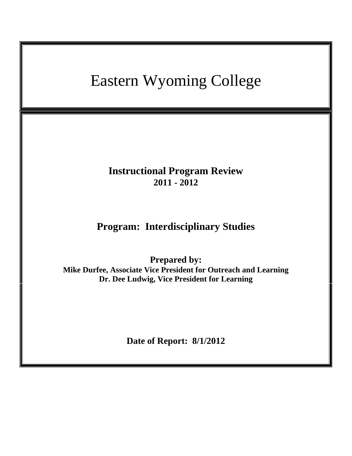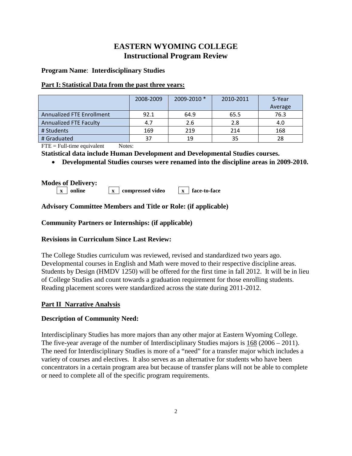# **EASTERN WYOMING COLLEGE Instructional Program Review**

### **Program Name**: **Interdisciplinary Studies**

### **Part I: Statistical Data from the past three years:**

|                           | 2008-2009 | 2009-2010 * | 2010-2011 | 5-Year<br>Average |
|---------------------------|-----------|-------------|-----------|-------------------|
| Annualized FTE Enrollment | 92.1      | 64.9        | 65.5      | 76.3              |
| Annualized FTE Faculty    | 4.7       | 2.6         | 2.8       | 4.0               |
| # Students                | 169       | 219         | 214       | 168               |
| # Graduated               | 37        | 19          | 35        | 28                |

 $\text{FTE} = \text{Full-time equivalent}$  Notes:

**Statistical data include Human Development and Developmental Studies courses.**

• **Developmental Studies courses were renamed into the discipline areas in 2009-2010.**

# **Modes of Delivery:**

- **x online x compressed video x face-to-face**
	-

# **Advisory Committee Members and Title or Role: (if applicable)**

# **Community Partners or Internships: (if applicable)**

# **Revisions in Curriculum Since Last Review:**

The College Studies curriculum was reviewed, revised and standardized two years ago. Developmental courses in English and Math were moved to their respective discipline areas. Students by Design (HMDV 1250) will be offered for the first time in fall 2012. It will be in lieu of College Studies and count towards a graduation requirement for those enrolling students. Reading placement scores were standardized across the state during 2011-2012.

# **Part II Narrative Analysis**

# **Description of Community Need:**

Interdisciplinary Studies has more majors than any other major at Eastern Wyoming College. The five-year average of the number of Interdisciplinary Studies majors is 168 (2006 – 2011). The need for Interdisciplinary Studies is more of a "need" for a transfer major which includes a variety of courses and electives. It also serves as an alternative for students who have been concentrators in a certain program area but because of transfer plans will not be able to complete or need to complete all of the specific program requirements.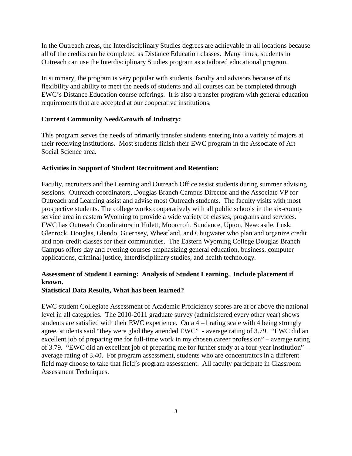In the Outreach areas, the Interdisciplinary Studies degrees are achievable in all locations because all of the credits can be completed as Distance Education classes. Many times, students in Outreach can use the Interdisciplinary Studies program as a tailored educational program.

In summary, the program is very popular with students, faculty and advisors because of its flexibility and ability to meet the needs of students and all courses can be completed through EWC's Distance Education course offerings. It is also a transfer program with general education requirements that are accepted at our cooperative institutions.

### **Current Community Need/Growth of Industry:**

This program serves the needs of primarily transfer students entering into a variety of majors at their receiving institutions. Most students finish their EWC program in the Associate of Art Social Science area.

#### **Activities in Support of Student Recruitment and Retention:**

Faculty, recruiters and the Learning and Outreach Office assist students during summer advising sessions. Outreach coordinators, Douglas Branch Campus Director and the Associate VP for Outreach and Learning assist and advise most Outreach students. The faculty visits with most prospective students. The college works cooperatively with all public schools in the six-county service area in eastern Wyoming to provide a wide variety of classes, programs and services. EWC has Outreach Coordinators in Hulett, Moorcroft, Sundance, Upton, Newcastle, Lusk, Glenrock, Douglas, Glendo, Guernsey, Wheatland, and Chugwater who plan and organize credit and non-credit classes for their communities. The Eastern Wyoming College Douglas Branch Campus offers day and evening courses emphasizing general education, business, computer applications, criminal justice, interdisciplinary studies, and health technology.

# **Assessment of Student Learning: Analysis of Student Learning. Include placement if known.**

#### **Statistical Data Results, What has been learned?**

EWC student Collegiate Assessment of Academic Proficiency scores are at or above the national level in all categories. The 2010-2011 graduate survey (administered every other year) shows students are satisfied with their EWC experience. On a 4 –1 rating scale with 4 being strongly agree, students said "they were glad they attended EWC" - average rating of 3.79. "EWC did an excellent job of preparing me for full-time work in my chosen career profession" – average rating of 3.79. "EWC did an excellent job of preparing me for further study at a four-year institution" – average rating of 3.40. For program assessment, students who are concentrators in a different field may choose to take that field's program assessment. All faculty participate in Classroom Assessment Techniques.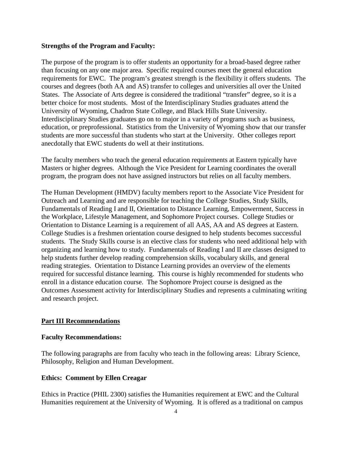#### **Strengths of the Program and Faculty:**

The purpose of the program is to offer students an opportunity for a broad-based degree rather than focusing on any one major area. Specific required courses meet the general education requirements for EWC. The program's greatest strength is the flexibility it offers students. The courses and degrees (both AA and AS) transfer to colleges and universities all over the United States. The Associate of Arts degree is considered the traditional "transfer" degree, so it is a better choice for most students. Most of the Interdisciplinary Studies graduates attend the University of Wyoming, Chadron State College, and Black Hills State University. Interdisciplinary Studies graduates go on to major in a variety of programs such as business, education, or preprofessional. Statistics from the University of Wyoming show that our transfer students are more successful than students who start at the University. Other colleges report anecdotally that EWC students do well at their institutions.

The faculty members who teach the general education requirements at Eastern typically have Masters or higher degrees. Although the Vice President for Learning coordinates the overall program, the program does not have assigned instructors but relies on all faculty members.

The Human Development (HMDV) faculty members report to the Associate Vice President for Outreach and Learning and are responsible for teaching the College Studies, Study Skills, Fundamentals of Reading I and II, Orientation to Distance Learning, Empowerment, Success in the Workplace, Lifestyle Management, and Sophomore Project courses. College Studies or Orientation to Distance Learning is a requirement of all AAS, AA and AS degrees at Eastern. College Studies is a freshmen orientation course designed to help students becomes successful students. The Study Skills course is an elective class for students who need additional help with organizing and learning how to study. Fundamentals of Reading I and II are classes designed to help students further develop reading comprehension skills, vocabulary skills, and general reading strategies. Orientation to Distance Learning provides an overview of the elements required for successful distance learning. This course is highly recommended for students who enroll in a distance education course. The Sophomore Project course is designed as the Outcomes Assessment activity for Interdisciplinary Studies and represents a culminating writing and research project.

### **Part III Recommendations**

#### **Faculty Recommendations:**

The following paragraphs are from faculty who teach in the following areas: Library Science, Philosophy, Religion and Human Development.

#### **Ethics: Comment by Ellen Creagar**

Ethics in Practice (PHIL 2300) satisfies the Humanities requirement at EWC and the Cultural Humanities requirement at the University of Wyoming. It is offered as a traditional on campus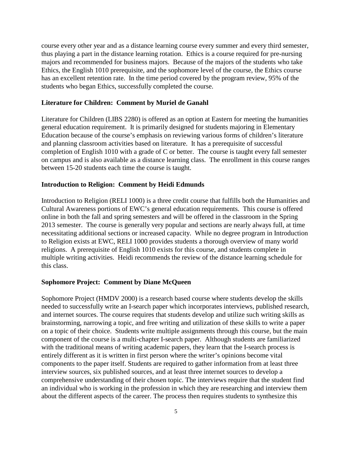course every other year and as a distance learning course every summer and every third semester, thus playing a part in the distance learning rotation. Ethics is a course required for pre-nursing majors and recommended for business majors. Because of the majors of the students who take Ethics, the English 1010 prerequisite, and the sophomore level of the course, the Ethics course has an excellent retention rate. In the time period covered by the program review, 95% of the students who began Ethics, successfully completed the course.

#### **Literature for Children: Comment by Muriel de Ganahl**

Literature for Children (LIBS 2280) is offered as an option at Eastern for meeting the humanities general education requirement. It is primarily designed for students majoring in Elementary Education because of the course's emphasis on reviewing various forms of children's literature and planning classroom activities based on literature. It has a prerequisite of successful completion of English 1010 with a grade of C or better. The course is taught every fall semester on campus and is also available as a distance learning class. The enrollment in this course ranges between 15-20 students each time the course is taught.

#### **Introduction to Religion: Comment by Heidi Edmunds**

Introduction to Religion (RELI 1000) is a three credit course that fulfills both the Humanities and Cultural Awareness portions of EWC's general education requirements. This course is offered online in both the fall and spring semesters and will be offered in the classroom in the Spring 2013 semester. The course is generally very popular and sections are nearly always full, at time necessitating additional sections or increased capacity. While no degree program in Introduction to Religion exists at EWC, RELI 1000 provides students a thorough overview of many world religions. A prerequisite of English 1010 exists for this course, and students complete in multiple writing activities. Heidi recommends the review of the distance learning schedule for this class.

#### **Sophomore Project: Comment by Diane McQueen**

Sophomore Project (HMDV 2000) is a research based course where students develop the skills needed to successfully write an I-search paper which incorporates interviews, published research, and internet sources. The course requires that students develop and utilize such writing skills as brainstorming, narrowing a topic, and free writing and utilization of these skills to write a paper on a topic of their choice. Students write multiple assignments through this course, but the main component of the course is a multi-chapter I-search paper. Although students are familiarized with the traditional means of writing academic papers, they learn that the I-search process is entirely different as it is written in first person where the writer's opinions become vital components to the paper itself. Students are required to gather information from at least three interview sources, six published sources, and at least three internet sources to develop a comprehensive understanding of their chosen topic. The interviews require that the student find an individual who is working in the profession in which they are researching and interview them about the different aspects of the career. The process then requires students to synthesize this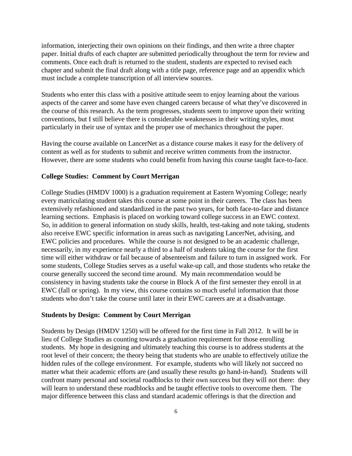information, interjecting their own opinions on their findings, and then write a three chapter paper. Initial drafts of each chapter are submitted periodically throughout the term for review and comments. Once each draft is returned to the student, students are expected to revised each chapter and submit the final draft along with a title page, reference page and an appendix which must include a complete transcription of all interview sources.

Students who enter this class with a positive attitude seem to enjoy learning about the various aspects of the career and some have even changed careers because of what they've discovered in the course of this research. As the term progresses, students seem to improve upon their writing conventions, but I still believe there is considerable weaknesses in their writing styles, most particularly in their use of syntax and the proper use of mechanics throughout the paper.

Having the course available on LancerNet as a distance course makes it easy for the delivery of content as well as for students to submit and receive written comments from the instructor. However, there are some students who could benefit from having this course taught face-to-face.

#### **College Studies: Comment by Court Merrigan**

College Studies (HMDV 1000) is a graduation requirement at Eastern Wyoming College; nearly every matriculating student takes this course at some point in their careers. The class has been extensively refashioned and standardized in the past two years, for both face-to-face and distance learning sections. Emphasis is placed on working toward college success in an EWC context. So, in addition to general information on study skills, health, test-taking and note taking, students also receive EWC specific information in areas such as navigating LancerNet, advising, and EWC policies and procedures. While the course is not designed to be an academic challenge, necessarily, in my experience nearly a third to a half of students taking the course for the first time will either withdraw or fail because of absenteeism and failure to turn in assigned work. For some students, College Studies serves as a useful wake-up call, and those students who retake the course generally succeed the second time around. My main recommendation would be consistency in having students take the course in Block A of the first semester they enroll in at EWC (fall or spring). In my view, this course contains so much useful information that those students who don't take the course until later in their EWC careers are at a disadvantage.

#### **Students by Design: Comment by Court Merrigan**

Students by Design (HMDV 1250) will be offered for the first time in Fall 2012. It will be in lieu of College Studies as counting towards a graduation requirement for those enrolling students. My hope in designing and ultimately teaching this course is to address students at the root level of their concern; the theory being that students who are unable to effectively utilize the hidden rules of the college environment. For example, students who will likely not succeed no matter what their academic efforts are (and usually these results go hand-in-hand). Students will confront many personal and societal roadblocks to their own success but they will not there: they will learn to understand these roadblocks and be taught effective tools to overcome them. The major difference between this class and standard academic offerings is that the direction and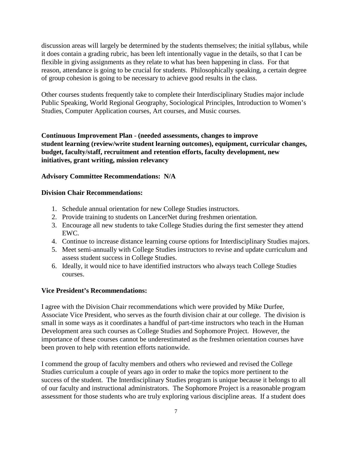discussion areas will largely be determined by the students themselves; the initial syllabus, while it does contain a grading rubric, has been left intentionally vague in the details, so that I can be flexible in giving assignments as they relate to what has been happening in class. For that reason, attendance is going to be crucial for students. Philosophically speaking, a certain degree of group cohesion is going to be necessary to achieve good results in the class.

Other courses students frequently take to complete their Interdisciplinary Studies major include Public Speaking, World Regional Geography, Sociological Principles, Introduction to Women's Studies, Computer Application courses, Art courses, and Music courses.

**Continuous Improvement Plan** - **(needed assessments, changes to improve student learning (review/write student learning outcomes), equipment, curricular changes, budget, faculty/staff, recruitment and retention efforts, faculty development, new initiatives, grant writing, mission relevancy**

### **Advisory Committee Recommendations: N/A**

#### **Division Chair Recommendations:**

- 1. Schedule annual orientation for new College Studies instructors.
- 2. Provide training to students on LancerNet during freshmen orientation.
- 3. Encourage all new students to take College Studies during the first semester they attend EWC.
- 4. Continue to increase distance learning course options for Interdisciplinary Studies majors.
- 5. Meet semi-annually with College Studies instructors to revise and update curriculum and assess student success in College Studies.
- 6. Ideally, it would nice to have identified instructors who always teach College Studies courses.

#### **Vice President's Recommendations:**

I agree with the Division Chair recommendations which were provided by Mike Durfee, Associate Vice President, who serves as the fourth division chair at our college. The division is small in some ways as it coordinates a handful of part-time instructors who teach in the Human Development area such courses as College Studies and Sophomore Project. However, the importance of these courses cannot be underestimated as the freshmen orientation courses have been proven to help with retention efforts nationwide.

I commend the group of faculty members and others who reviewed and revised the College Studies curriculum a couple of years ago in order to make the topics more pertinent to the success of the student. The Interdisciplinary Studies program is unique because it belongs to all of our faculty and instructional administrators. The Sophomore Project is a reasonable program assessment for those students who are truly exploring various discipline areas. If a student does